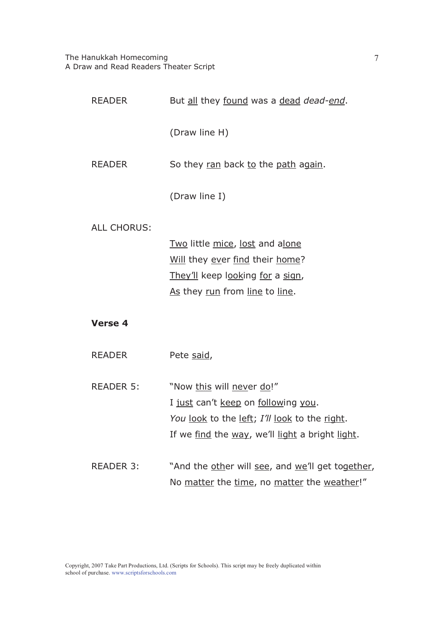| READER             | But all they found was a dead dead-end.          |
|--------------------|--------------------------------------------------|
|                    | (Draw line H)                                    |
| <b>READER</b>      | So they ran back to the path again.              |
|                    | (Draw line I)                                    |
| <b>ALL CHORUS:</b> |                                                  |
|                    | Two little mice, lost and alone                  |
|                    | Will they ever find their home?                  |
|                    | They'll keep looking for a sign,                 |
|                    | As they run from line to line.                   |
| <b>Verse 4</b>     |                                                  |
| <b>READER</b>      | Pete said,                                       |
| READER 5:          | "Now this will never do!"                        |
|                    | I just can't keep on following you.              |
|                    | You look to the left; I'll look to the right.    |
|                    | If we find the way, we'll light a bright light.  |
| <b>READER 3:</b>   | "And the other will see, and we'll get together, |
|                    | No matter the time, no matter the weather!"      |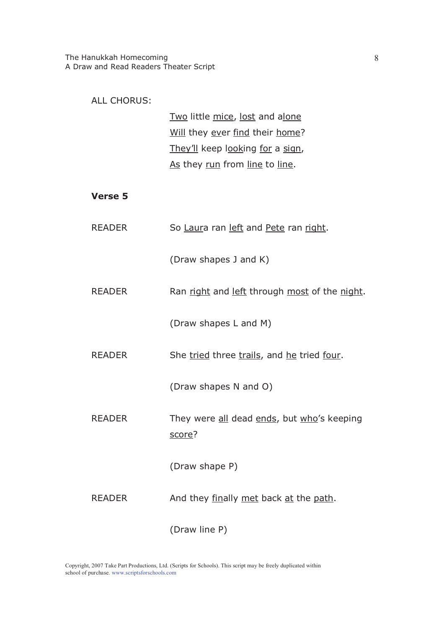| <b>ALL CHORUS:</b> | Two little mice, lost and alone<br>Will they ever find their home?<br>They'll keep looking for a sign,<br>As they run from line to line. |
|--------------------|------------------------------------------------------------------------------------------------------------------------------------------|
| <b>Verse 5</b>     |                                                                                                                                          |
| <b>READER</b>      | So Laura ran left and Pete ran right.                                                                                                    |
|                    | (Draw shapes J and K)                                                                                                                    |
| <b>READER</b>      | Ran right and left through most of the night.                                                                                            |
|                    | (Draw shapes L and M)                                                                                                                    |
| <b>READER</b>      | She tried three trails, and he tried four.                                                                                               |
|                    | (Draw shapes N and O)                                                                                                                    |
| <b>READER</b>      | They were all dead ends, but who's keeping<br>score?                                                                                     |
|                    | (Draw shape P)                                                                                                                           |
| <b>READER</b>      | And they finally met back at the path.                                                                                                   |
|                    | (Draw line P)                                                                                                                            |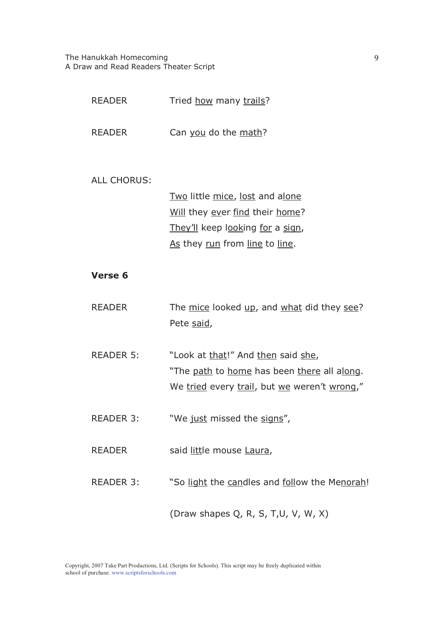| <b>READER</b>      | Tried how many trails?                                   |
|--------------------|----------------------------------------------------------|
| <b>READER</b>      | Can you do the math?                                     |
| <b>ALL CHORUS:</b> |                                                          |
|                    | Two little mice, lost and alone                          |
|                    | Will they ever find their home?                          |
|                    | They'll keep looking for a sign,                         |
|                    | As they run from line to line.                           |
|                    |                                                          |
| <b>Verse 6</b>     |                                                          |
| <b>READER</b>      | The mice looked up, and what did they see?<br>Pete said, |
| <b>READER 5:</b>   | "Look at that!" And then said she,                       |
|                    | "The path to home has been there all along.              |
|                    | We tried every trail, but we weren't wrong,"             |
| <b>READER 3:</b>   | "We just missed the signs",                              |
| <b>READER</b>      | said little mouse Laura,                                 |
| <b>READER 3:</b>   | "So light the candles and follow the Menorah!            |
|                    | (Draw shapes Q, R, S, T,U, V, W, X)                      |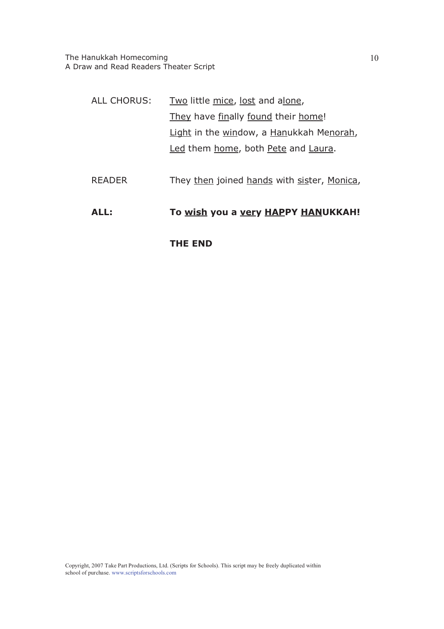| ALL:               | To wish you a very HAPPY HANUKKAH!          |
|--------------------|---------------------------------------------|
| <b>READER</b>      | They then joined hands with sister, Monica, |
|                    | Led them home, both Pete and Laura.         |
|                    | Light in the window, a Hanukkah Menorah,    |
|                    | They have finally found their home!         |
| <b>ALL CHORUS:</b> | <u>Two</u> little mice, lost and alone,     |

**THE END**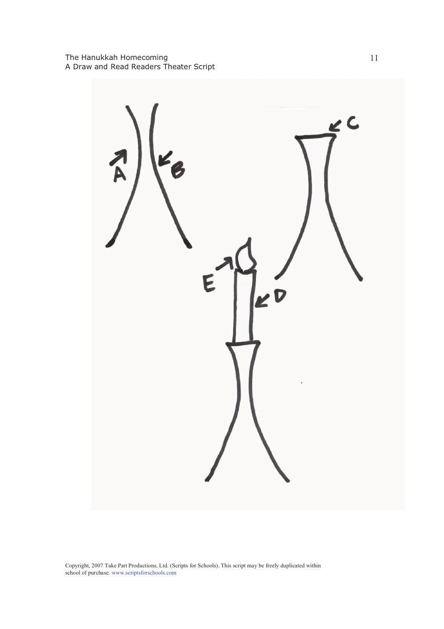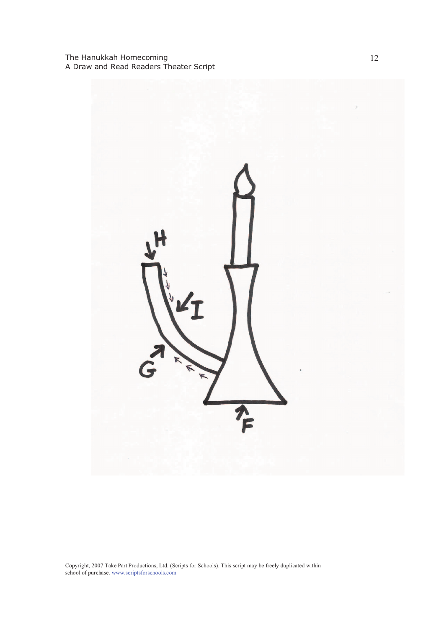